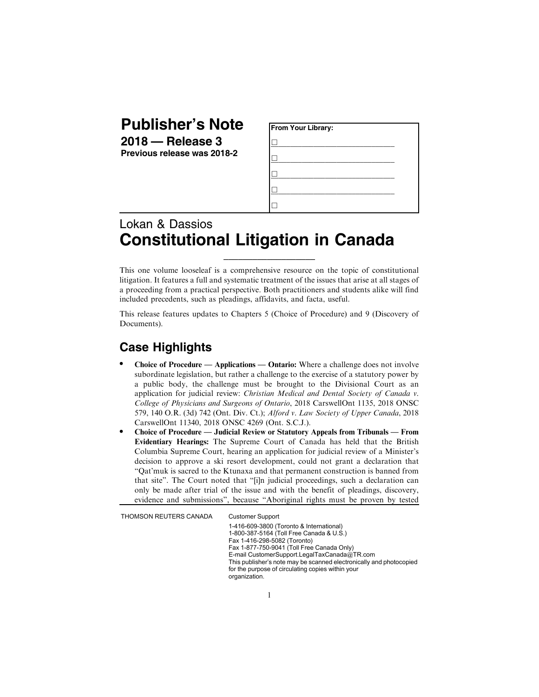## **Publisher's Note**

**2018 — Release 3 Previous release was 2018-2**

| From Your Library: |  |  |  |
|--------------------|--|--|--|
|                    |  |  |  |
|                    |  |  |  |
|                    |  |  |  |
|                    |  |  |  |
|                    |  |  |  |

## Lokan & Dassios **Constitutional Litigation in Canada**

This one volume looseleaf is a comprehensive resource on the topic of constitutional litigation. It features a full and systematic treatment of the issues that arise at all stages of a proceeding from a practical perspective. Both practitioners and students alike will find included precedents, such as pleadings, affidavits, and facta, useful.

 $\_$ 

This release features updates to Chapters 5 (Choice of Procedure) and 9 (Discovery of Documents).

## **Case Highlights**

- . Choice of Procedure Applications Ontario: Where a challenge does not involve subordinate legislation, but rather a challenge to the exercise of a statutory power by a public body, the challenge must be brought to the Divisional Court as an application for judicial review: Christian Medical and Dental Society of Canada v. College of Physicians and Surgeons of Ontario, 2018 CarswellOnt 1135, 2018 ONSC 579, 140 O.R. (3d) 742 (Ont. Div. Ct.); Alford v. Law Society of Upper Canada, 2018 CarswellOnt 11340, 2018 ONSC 4269 (Ont. S.C.J.).
- . Choice of Procedure Judicial Review or Statutory Appeals from Tribunals From Evidentiary Hearings: The Supreme Court of Canada has held that the British Columbia Supreme Court, hearing an application for judicial review of a Minister's decision to approve a ski resort development, could not grant a declaration that "Qat'muk is sacred to the Ktunaxa and that permanent construction is banned from that site". The Court noted that "[i]n judicial proceedings, such a declaration can only be made after trial of the issue and with the benefit of pleadings, discovery, evidence and submissions", because "Aboriginal rights must be proven by tested

THOMSON REUTERS CANADA Customer Support

1-416-609-3800 (Toronto & International) 1-800-387-5164 (Toll Free Canada & U.S.) Fax 1-416-298-5082 (Toronto) Fax 1-877-750-9041 (Toll Free Canada Only) E-mail CustomerSupport.LegalTaxCanada@TR.com This publisher's note may be scanned electronically and photocopied for the purpose of circulating copies within your organization.